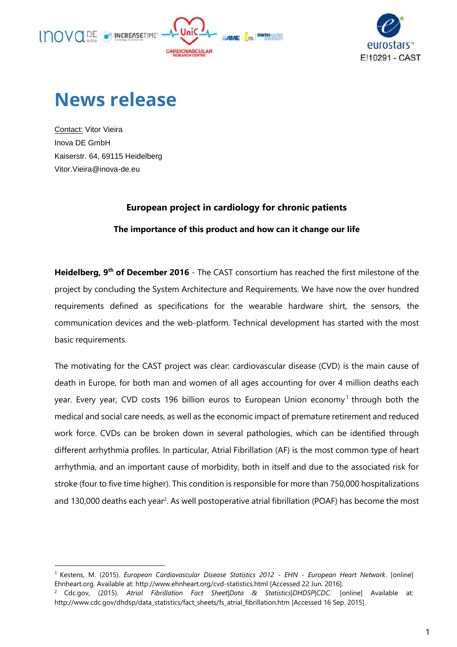



## **News release**

Contact: Vitor Vieira Inova DE GmbH Kaiserstr. 64, 69115 Heidelberg Vitor.Vieira@inova-de.eu

l

## **European project in cardiology for chronic patients**

## **The importance of this product and how can it change our life**

Heidelberg, 9<sup>th</sup> of December 2016 - The CAST consortium has reached the first milestone of the project by concluding the System Architecture and Requirements. We have now the over hundred requirements defined as specifications for the wearable hardware shirt, the sensors, the communication devices and the web-platform. Technical development has started with the most basic requirements.

The motivating for the CAST project was clear: cardiovascular disease (CVD) is the main cause of death in Europe, for both man and women of all ages accounting for over 4 million deaths each year. Every year, CVD costs 196 billion euros to European Union economy<sup>1</sup> through both the medical and social care needs, as well as the economic impact of premature retirement and reduced work force. CVDs can be broken down in several pathologies, which can be identified through different arrhythmia profiles. In particular, Atrial Fibrillation (AF) is the most common type of heart arrhythmia, and an important cause of morbidity, both in itself and due to the associated risk for stroke (four to five time higher). This condition is responsible for more than 750,000 hospitalizations and 130,000 deaths each year<sup>2</sup>. As well postoperative atrial fibrillation (POAF) has become the most

<sup>1</sup> Kestens, M. (2015). *European Cardiovascular Disease Statistics 2012 - EHN - European Heart Network*. [online] Ehnheart.org. Available at: http://www.ehnheart.org/cvd-statistics.html [Accessed 22 Jun. 2016].

<sup>2</sup> Cdc.gov, (2015). *Atrial Fibrillation Fact Sheet|Data & Statistics|DHDSP|CDC*. [online] Available at: http://www.cdc.gov/dhdsp/data\_statistics/fact\_sheets/fs\_atrial\_fibrillation.htm [Accessed 16 Sep. 2015].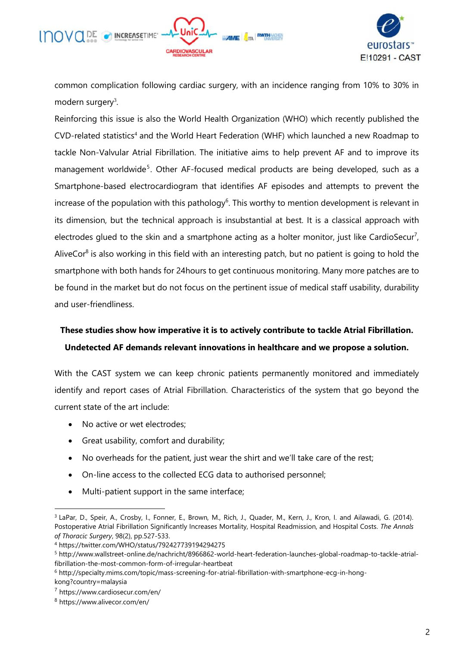



common complication following cardiac surgery, with an incidence ranging from 10% to 30% in modern surgery<sup>3</sup>.

Reinforcing this issue is also the World Health Organization (WHO) which recently published the CVD-related statistics<sup>4</sup> and the World Heart Federation (WHF) which launched a new Roadmap to tackle Non-Valvular Atrial Fibrillation. The initiative aims to help prevent AF and to improve its management worldwide<sup>5</sup>. Other AF-focused medical products are being developed, such as a Smartphone-based electrocardiogram that identifies AF episodes and attempts to prevent the increase of the population with this pathology<sup>6</sup>. This worthy to mention development is relevant in its dimension, but the technical approach is insubstantial at best. It is a classical approach with electrodes glued to the skin and a smartphone acting as a holter monitor, just like CardioSecur<sup>7</sup>, AliveCor<sup>8</sup> is also working in this field with an interesting patch, but no patient is going to hold the smartphone with both hands for 24hours to get continuous monitoring. Many more patches are to be found in the market but do not focus on the pertinent issue of medical staff usability, durability and user-friendliness.

## **These studies show how imperative it is to actively contribute to tackle Atrial Fibrillation. Undetected AF demands relevant innovations in healthcare and we propose a solution.**

With the CAST system we can keep chronic patients permanently monitored and immediately identify and report cases of Atrial Fibrillation. Characteristics of the system that go beyond the current state of the art include:

- No active or wet electrodes;
- Great usability, comfort and durability;
- No overheads for the patient, just wear the shirt and we'll take care of the rest;
- On-line access to the collected ECG data to authorised personnel;
- Multi-patient support in the same interface;

l

<sup>3</sup> LaPar, D., Speir, A., Crosby, I., Fonner, E., Brown, M., Rich, J., Quader, M., Kern, J., Kron, I. and Ailawadi, G. (2014). Postoperative Atrial Fibrillation Significantly Increases Mortality, Hospital Readmission, and Hospital Costs. *The Annals of Thoracic Surgery*, 98(2), pp.527-533.

<sup>4</sup> https://twitter.com/WHO/status/792427739194294275

<sup>5</sup> http://www.wallstreet-online.de/nachricht/8966862-world-heart-federation-launches-global-roadmap-to-tackle-atrialfibrillation-the-most-common-form-of-irregular-heartbeat

<sup>6</sup> http://specialty.mims.com/topic/mass-screening-for-atrial-fibrillation-with-smartphone-ecg-in-hongkong?country=malaysia

<sup>7</sup> https://www.cardiosecur.com/en/

<sup>8</sup> https://www.alivecor.com/en/